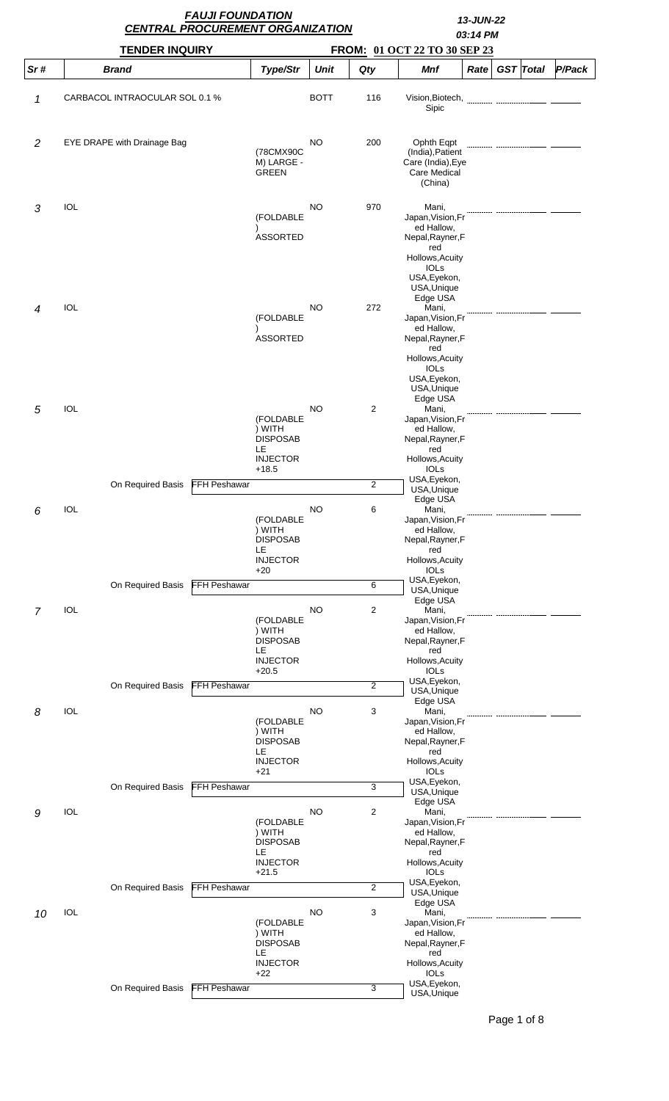|                |                                 | <b>FAUJI FOUNDATION</b><br><b>CENTRAL PROCUREMENT ORGANIZATION</b> |                                                                            | 13-JUN-22<br>03:14 PM |                                  |                                                                                                                                                  |      |                  |        |  |
|----------------|---------------------------------|--------------------------------------------------------------------|----------------------------------------------------------------------------|-----------------------|----------------------------------|--------------------------------------------------------------------------------------------------------------------------------------------------|------|------------------|--------|--|
|                | <b>TENDER INQUIRY</b>           |                                                                    |                                                                            |                       | FROM: 01 OCT 22 TO 30 SEP 23     |                                                                                                                                                  |      |                  |        |  |
| Sr#            | <b>Brand</b>                    |                                                                    | Type/Str                                                                   | <b>Unit</b>           | Qty                              | Mnf                                                                                                                                              | Rate | <b>GST</b> Total | P/Pack |  |
| 1              | CARBACOL INTRAOCULAR SOL 0.1 %  |                                                                    |                                                                            | <b>BOTT</b>           | 116                              | Vision, Biotech,<br>Sipic                                                                                                                        |      |                  |        |  |
| $\overline{c}$ | EYE DRAPE with Drainage Bag     |                                                                    | (78CMX90C<br>M) LARGE -<br><b>GREEN</b>                                    | <b>NO</b>             | 200                              | Ophth Eqpt<br>(India), Patient<br>Care (India), Eye<br><b>Care Medical</b><br>(China)                                                            |      |                  |        |  |
| 3              | <b>IOL</b>                      |                                                                    | (FOLDABLE<br><b>ASSORTED</b>                                               | <b>NO</b>             | 970                              | Mani,<br>Japan, Vision, Fr<br>ed Hallow,<br>Nepal, Rayner, F<br>red<br>Hollows, Acuity<br><b>IOLS</b><br>USA, Eyekon,<br>USA, Unique             |      |                  |        |  |
| 4              | IOL                             |                                                                    | (FOLDABLE<br><b>ASSORTED</b>                                               | NO                    | 272                              | Edge USA<br>Mani,<br>Japan, Vision, Fr<br>ed Hallow,<br>Nepal, Rayner, F<br>red<br>Hollows, Acuity<br><b>IOLS</b><br>USA, Eyekon,<br>USA, Unique |      |                  |        |  |
| 5              | <b>IOL</b>                      |                                                                    | (FOLDABLE<br>) WITH<br><b>DISPOSAB</b><br>LE<br><b>INJECTOR</b><br>$+18.5$ | <b>NO</b>             | 2                                | Edge USA<br>Mani,<br>Japan, Vision, Fr<br>ed Hallow,<br>Nepal, Rayner, F<br>red<br>Hollows, Acuity<br><b>IOLS</b>                                |      |                  |        |  |
|                | On Required Basis               | <b>FFH Peshawar</b>                                                |                                                                            |                       | $\overline{2}$                   | USA, Eyekon,<br>USA, Unique                                                                                                                      |      |                  |        |  |
| 6              | IOL                             |                                                                    | (FOLDABLE<br>) WITH<br><b>DISPOSAB</b><br>LE<br><b>INJECTOR</b><br>$+20$   | <b>NO</b>             | 6                                | Edge USA<br>Mani,<br>Japan, Vision, Fr<br>ed Hallow,<br>Nepal, Rayner, F<br>red<br>Hollows, Acuity<br>IOLs                                       |      |                  |        |  |
|                | On Required Basis               | <b>FFH Peshawar</b>                                                |                                                                            |                       | 6                                | USA, Eyekon,<br>USA, Unique                                                                                                                      |      |                  |        |  |
| 7              | <b>IOL</b>                      |                                                                    | (FOLDABLE<br>) WITH<br><b>DISPOSAB</b><br>LE<br><b>INJECTOR</b><br>$+20.5$ | <b>NO</b>             | $\overline{c}$                   | Edge USA<br>Mani,<br>Japan, Vision, Fr<br>ed Hallow,<br>Nepal, Rayner, F<br>red<br>Hollows, Acuity<br><b>IOLs</b><br>USA, Eyekon,                |      |                  |        |  |
|                | On Required Basis               | <b>FFH Peshawar</b>                                                |                                                                            |                       | $\overline{2}$                   | USA, Unique<br>Edge USA                                                                                                                          |      |                  |        |  |
| 8              | IOL                             |                                                                    | (FOLDABLE<br>) WITH<br><b>DISPOSAB</b><br>LE<br><b>INJECTOR</b><br>$+21$   | <b>NO</b>             | 3                                | Mani,<br>Japan, Vision, Fr<br>ed Hallow,<br>Nepal, Rayner, F<br>red<br>Hollows, Acuity<br><b>IOLs</b>                                            |      |                  |        |  |
|                | On Required Basis               | <b>FFH Peshawar</b>                                                |                                                                            |                       | 3                                | USA, Eyekon,<br>USA, Unique<br>Edge USA                                                                                                          |      |                  |        |  |
| 9              | <b>IOL</b><br>On Required Basis | FFH Peshawar                                                       | (FOLDABLE<br>) WITH<br><b>DISPOSAB</b><br>LE<br><b>INJECTOR</b><br>$+21.5$ | <b>NO</b>             | $\overline{c}$<br>$\overline{2}$ | Mani,<br>Japan, Vision, Fr<br>ed Hallow,<br>Nepal, Rayner, F<br>red<br>Hollows, Acuity<br><b>IOLs</b><br>USA, Eyekon,<br>USA, Unique             |      |                  |        |  |
| 10             | IOL                             |                                                                    | (FOLDABLE<br>) WITH<br><b>DISPOSAB</b><br>LE<br><b>INJECTOR</b><br>$+22$   | <b>NO</b>             | 3                                | Edge USA<br>Mani,<br>Japan, Vision, Fr<br>ed Hallow,<br>Nepal, Rayner, F<br>red<br>Hollows, Acuity<br><b>IOLS</b>                                |      |                  |        |  |
|                | On Required Basis               | <b>FFH Peshawar</b>                                                |                                                                            |                       | 3                                | USA, Eyekon,<br>USA, Unique                                                                                                                      |      |                  |        |  |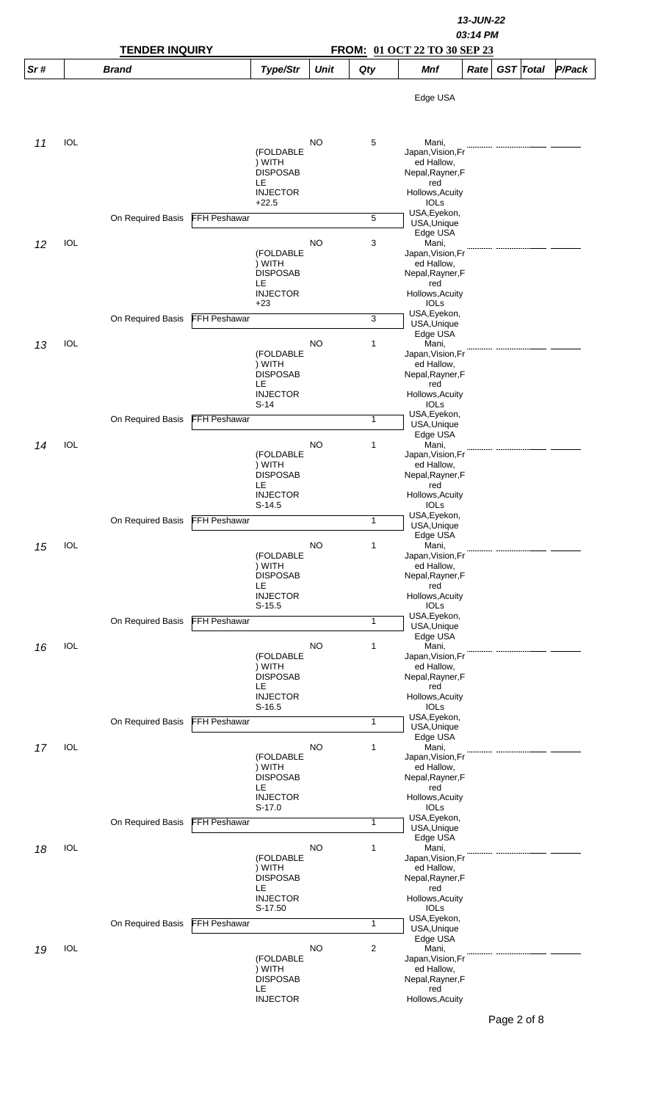|     |            |                       |                     | 13-JUN-22<br>03:14 PM                                                        |             |              |                                                                                                                       |      |  |                  |        |  |  |
|-----|------------|-----------------------|---------------------|------------------------------------------------------------------------------|-------------|--------------|-----------------------------------------------------------------------------------------------------------------------|------|--|------------------|--------|--|--|
|     |            | <b>TENDER INQUIRY</b> |                     | FROM: 01 OCT 22 TO 30 SEP 23                                                 |             |              |                                                                                                                       |      |  |                  |        |  |  |
| Sr# |            | <b>Brand</b>          |                     | Type/Str                                                                     | <b>Unit</b> | Qty          | Mnf                                                                                                                   | Rate |  | <b>GST</b> Total | P/Pack |  |  |
|     |            |                       |                     |                                                                              |             |              | Edge USA                                                                                                              |      |  |                  |        |  |  |
| 11  | IOL        |                       |                     | (FOLDABLE<br>) WITH<br><b>DISPOSAB</b><br>LE.<br><b>INJECTOR</b><br>$+22.5$  | NO          | 5            | Mani,<br>Japan, Vision, Fr<br>ed Hallow,<br>Nepal, Rayner, F<br>red<br>Hollows, Acuity<br><b>IOLs</b>                 |      |  |                  |        |  |  |
|     |            | On Required Basis     | <b>FFH Peshawar</b> |                                                                              |             | 5            | USA, Eyekon,<br>USA, Unique<br>Edge USA                                                                               |      |  |                  |        |  |  |
| 12  | <b>IOL</b> |                       |                     | (FOLDABLE<br>) WITH<br><b>DISPOSAB</b><br>LE.<br><b>INJECTOR</b><br>$+23$    | <b>NO</b>   | 3            | Mani,<br>Japan, Vision, Fr<br>ed Hallow,<br>Nepal, Rayner, F<br>red<br>Hollows, Acuity<br><b>IOLS</b>                 |      |  |                  |        |  |  |
|     |            | On Required Basis     | FFH Peshawar        |                                                                              |             | 3            | USA, Eyekon,<br>USA, Unique<br>Edge USA                                                                               |      |  |                  |        |  |  |
| 13  | <b>IOL</b> |                       |                     | (FOLDABLE<br>) WITH<br><b>DISPOSAB</b><br>LE<br><b>INJECTOR</b><br>S-14      | <b>NO</b>   | 1            | Mani,<br>Japan, Vision, Fr<br>ed Hallow,<br>Nepal, Rayner, F<br>red<br>Hollows, Acuity<br>IOLS                        |      |  |                  |        |  |  |
|     |            | On Required Basis     | FFH Peshawar        |                                                                              |             | $\mathbf{1}$ | USA, Eyekon,<br>USA, Unique<br>Edge USA                                                                               |      |  |                  |        |  |  |
| 14  | <b>IOL</b> |                       |                     | (FOLDABLE<br>) WITH<br><b>DISPOSAB</b><br>LE.<br><b>INJECTOR</b>             | <b>NO</b>   | 1            | Mani,<br>Japan, Vision, Fr<br>ed Hallow,<br>Nepal, Rayner, F<br>red<br>Hollows, Acuity                                |      |  |                  |        |  |  |
|     |            | On Required Basis     | <b>FFH Peshawar</b> | S-14.5                                                                       |             | $\mathbf{1}$ | <b>IOLS</b><br>USA, Eyekon,<br>USA, Unique                                                                            |      |  |                  |        |  |  |
| 15  | IOL        |                       |                     | (FOLDABLE<br>) WITH<br><b>DISPOSAB</b><br>LE.<br><b>INJECTOR</b><br>$S-15.5$ | NO          | 1            | Edge USA<br>Mani,<br>Japan, Vision, Fr<br>ed Hallow,<br>Nepal, Rayner, F<br>red<br>Hollows, Acuity<br><b>IOLs</b>     |      |  |                  |        |  |  |
|     |            | On Required Basis     | <b>FFH Peshawar</b> |                                                                              |             | 1            | USA, Eyekon,<br>USA, Unique<br>Edge USA                                                                               |      |  |                  |        |  |  |
| 16  | IOL        |                       |                     | (FOLDABLE<br>) WITH<br><b>DISPOSAB</b><br>LE.<br><b>INJECTOR</b><br>$S-16.5$ | <b>NO</b>   | $\mathbf{1}$ | Mani,<br>Japan, Vision, Fr<br>ed Hallow,<br>Nepal, Rayner, F<br>red<br>Hollows, Acuity<br><b>IOLs</b><br>USA, Eyekon, |      |  |                  |        |  |  |
|     |            | On Required Basis     | <b>FFH Peshawar</b> |                                                                              |             | $\mathbf{1}$ | USA, Unique<br>Edge USA                                                                                               |      |  |                  |        |  |  |
| 17  | <b>IOL</b> |                       |                     | (FOLDABLE<br>) WITH<br><b>DISPOSAB</b><br>LE<br><b>INJECTOR</b><br>$S-17.0$  | <b>NO</b>   | 1            | Mani,<br>Japan, Vision, Fr<br>ed Hallow,<br>Nepal, Rayner, F<br>red<br>Hollows, Acuity<br><b>IOLS</b>                 |      |  |                  |        |  |  |
|     |            | On Required Basis     | <b>FFH Peshawar</b> |                                                                              |             | 1            | USA, Eyekon,<br>USA, Unique<br>Edge USA                                                                               |      |  |                  |        |  |  |
| 18  | IOL        |                       |                     | (FOLDABLE<br>) WITH<br><b>DISPOSAB</b><br>LE<br><b>INJECTOR</b><br>S-17.50   | <b>NO</b>   | $\mathbf{1}$ | Mani,<br>Japan, Vision, Fr<br>ed Hallow,<br>Nepal, Rayner, F<br>red<br>Hollows, Acuity<br><b>IOLs</b>                 |      |  |                  |        |  |  |
|     |            | On Required Basis     | <b>FFH Peshawar</b> |                                                                              |             | $\mathbf{1}$ | USA, Eyekon,<br>USA, Unique<br>Edge USA                                                                               |      |  |                  |        |  |  |
| 19  | <b>IOL</b> |                       |                     | (FOLDABLE<br>) WITH<br><b>DISPOSAB</b><br>LE.<br><b>INJECTOR</b>             | NO          | 2            | Mani,<br>Japan, Vision, Fr<br>ed Hallow,<br>Nepal, Rayner, F<br>red<br>Hollows, Acuity                                |      |  |                  |        |  |  |

Page 2 of 8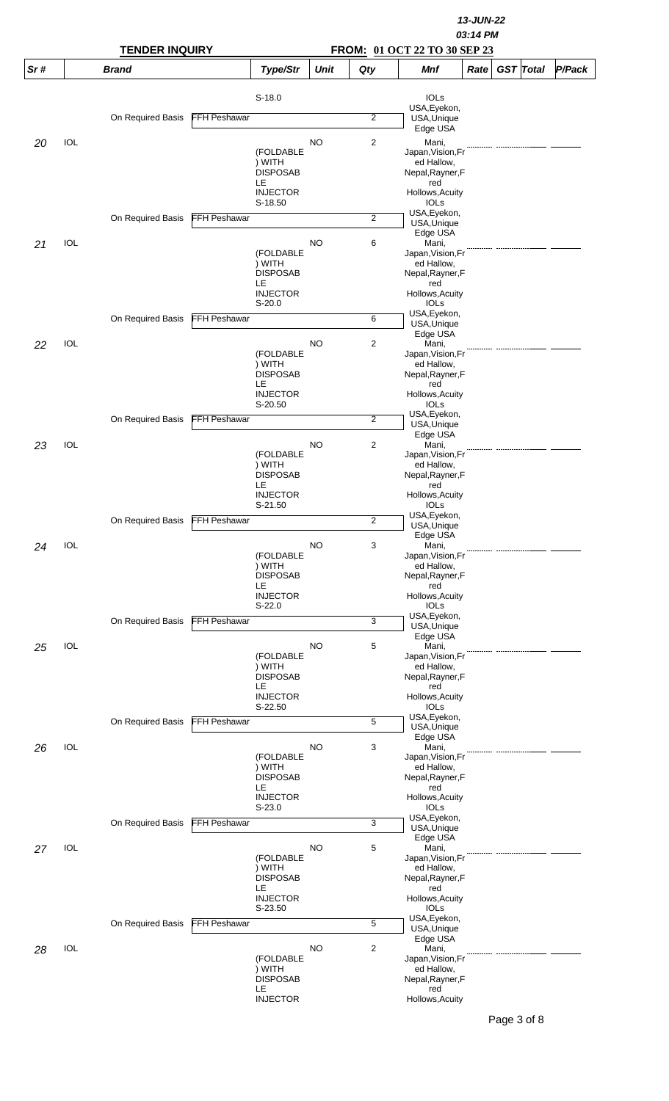|     |            |                       |                     | 13-JUN-22<br>03:14 PM       |             |                |                                 |      |  |                  |        |  |  |
|-----|------------|-----------------------|---------------------|-----------------------------|-------------|----------------|---------------------------------|------|--|------------------|--------|--|--|
|     |            | <b>TENDER INQUIRY</b> |                     |                             |             |                |                                 |      |  |                  |        |  |  |
| Sr# |            | <b>Brand</b>          |                     | Type/Str                    | <b>Unit</b> | Qty            | <b>Mnf</b>                      | Rate |  | <b>GST</b> Total | P/Pack |  |  |
|     |            |                       |                     | $S-18.0$                    |             |                | <b>IOLS</b>                     |      |  |                  |        |  |  |
|     |            | On Required Basis     | <b>FFH Peshawar</b> |                             |             | $\overline{2}$ | USA, Eyekon,<br>USA, Unique     |      |  |                  |        |  |  |
|     |            |                       |                     |                             |             |                | Edge USA                        |      |  |                  |        |  |  |
| 20  | <b>IOL</b> |                       |                     | (FOLDABLE                   | NO          | 2              | Mani,<br>Japan, Vision, Fr      |      |  |                  |        |  |  |
|     |            |                       |                     | ) WITH<br><b>DISPOSAB</b>   |             |                | ed Hallow,<br>Nepal, Rayner, F  |      |  |                  |        |  |  |
|     |            |                       |                     | LE                          |             |                | red                             |      |  |                  |        |  |  |
|     |            |                       |                     | <b>INJECTOR</b><br>S-18.50  |             |                | Hollows, Acuity<br><b>IOLs</b>  |      |  |                  |        |  |  |
|     |            | On Required Basis     | <b>FFH Peshawar</b> |                             |             | $\overline{2}$ | USA, Eyekon,<br>USA, Unique     |      |  |                  |        |  |  |
|     | IOL        |                       |                     |                             | <b>NO</b>   | 6              | Edge USA<br>Mani,               |      |  |                  |        |  |  |
| 21  |            |                       |                     | (FOLDABLE                   |             |                | Japan, Vision, Fr               |      |  |                  |        |  |  |
|     |            |                       |                     | ) WITH<br><b>DISPOSAB</b>   |             |                | ed Hallow,<br>Nepal, Rayner, F  |      |  |                  |        |  |  |
|     |            |                       |                     | LE<br><b>INJECTOR</b>       |             |                | red<br>Hollows, Acuity          |      |  |                  |        |  |  |
|     |            |                       |                     | $S-20.0$                    |             |                | <b>IOLS</b>                     |      |  |                  |        |  |  |
|     |            | On Required Basis     | <b>FFH Peshawar</b> |                             |             | 6              | USA, Eyekon,<br>USA, Unique     |      |  |                  |        |  |  |
| 22  | IOL        |                       |                     |                             | NO          | $\overline{2}$ | Edge USA<br>Mani,               |      |  |                  |        |  |  |
|     |            |                       |                     | (FOLDABLE<br>) WITH         |             |                | Japan, Vision, Fr<br>ed Hallow, |      |  |                  |        |  |  |
|     |            |                       |                     | <b>DISPOSAB</b>             |             |                | Nepal, Rayner, F                |      |  |                  |        |  |  |
|     |            |                       |                     | LE<br><b>INJECTOR</b>       |             |                | red<br>Hollows, Acuity          |      |  |                  |        |  |  |
|     |            |                       |                     | S-20.50                     |             |                | IOLs<br>USA, Eyekon,            |      |  |                  |        |  |  |
|     |            | On Required Basis     | FFH Peshawar        |                             |             | $\overline{2}$ | USA, Unique<br>Edge USA         |      |  |                  |        |  |  |
| 23  | IOL        |                       |                     |                             | <b>NO</b>   | $\overline{c}$ | Mani,                           |      |  |                  |        |  |  |
|     |            |                       |                     | (FOLDABLE<br>) WITH         |             |                | Japan, Vision, Fr<br>ed Hallow, |      |  |                  |        |  |  |
|     |            |                       |                     | <b>DISPOSAB</b><br>LE       |             |                | Nepal, Rayner, F<br>red         |      |  |                  |        |  |  |
|     |            |                       |                     | <b>INJECTOR</b><br>S-21.50  |             |                | Hollows, Acuity<br><b>IOLS</b>  |      |  |                  |        |  |  |
|     |            | On Required Basis     | <b>FFH Peshawar</b> |                             |             | 2              | USA, Eyekon,                    |      |  |                  |        |  |  |
|     |            |                       |                     |                             |             |                | USA, Unique<br>Edge USA         |      |  |                  |        |  |  |
| 24  | IOL        |                       |                     | (FOLDABLE                   | NO          | 3              | Mani,<br>Japan, Vision, Fr      |      |  |                  |        |  |  |
|     |            |                       |                     | ) WITH<br><b>DISPOSAB</b>   |             |                | ed Hallow,<br>Nepal, Rayner, F  |      |  |                  |        |  |  |
|     |            |                       |                     | LE                          |             |                | red                             |      |  |                  |        |  |  |
|     |            |                       |                     | <b>INJECTOR</b><br>$S-22.0$ |             |                | Hollows, Acuity<br><b>IOLs</b>  |      |  |                  |        |  |  |
|     |            | On Required Basis     | <b>FFH Peshawar</b> |                             |             | 3              | USA, Eyekon,<br>USA, Unique     |      |  |                  |        |  |  |
| 25  | <b>IOL</b> |                       |                     |                             | <b>NO</b>   | 5              | Edge USA<br>Mani,               |      |  |                  |        |  |  |
|     |            |                       |                     | (FOLDABLE                   |             |                | Japan, Vision, Fr               |      |  |                  |        |  |  |
|     |            |                       |                     | ) WITH<br><b>DISPOSAB</b>   |             |                | ed Hallow,<br>Nepal, Rayner, F  |      |  |                  |        |  |  |
|     |            |                       |                     | LE<br><b>INJECTOR</b>       |             |                | red<br>Hollows, Acuity          |      |  |                  |        |  |  |
|     |            |                       |                     | S-22.50                     |             |                | <b>IOLs</b><br>USA, Eyekon,     |      |  |                  |        |  |  |
|     |            | On Required Basis     | <b>FFH Peshawar</b> |                             |             | 5              | USA, Unique                     |      |  |                  |        |  |  |
| 26  | IOL        |                       |                     |                             | <b>NO</b>   | 3              | Edge USA<br>Mani,               |      |  |                  |        |  |  |
|     |            |                       |                     | (FOLDABLE<br>) WITH         |             |                | Japan, Vision, Fr<br>ed Hallow, |      |  |                  |        |  |  |
|     |            |                       |                     | <b>DISPOSAB</b><br>LE       |             |                | Nepal, Rayner, F<br>red         |      |  |                  |        |  |  |
|     |            |                       |                     | <b>INJECTOR</b>             |             |                | Hollows, Acuity                 |      |  |                  |        |  |  |
|     |            | On Required Basis     | <b>FFH Peshawar</b> | $S-23.0$                    |             | 3              | <b>IOLS</b><br>USA, Eyekon,     |      |  |                  |        |  |  |
|     |            |                       |                     |                             |             |                | USA, Unique<br>Edge USA         |      |  |                  |        |  |  |
| 27  | IOL        |                       |                     | (FOLDABLE                   | <b>NO</b>   | 5              | Mani,<br>Japan, Vision, Fr      |      |  |                  |        |  |  |
|     |            |                       |                     | ) WITH                      |             |                | ed Hallow,                      |      |  |                  |        |  |  |
|     |            |                       |                     | <b>DISPOSAB</b><br>LE       |             |                | Nepal, Rayner, F<br>red         |      |  |                  |        |  |  |
|     |            |                       |                     | <b>INJECTOR</b><br>S-23.50  |             |                | Hollows, Acuity<br><b>IOLS</b>  |      |  |                  |        |  |  |
|     |            | On Required Basis     | <b>FFH Peshawar</b> |                             |             | 5              | USA, Eyekon,<br>USA, Unique     |      |  |                  |        |  |  |
|     |            |                       |                     |                             |             |                | Edge USA                        |      |  |                  |        |  |  |
| 28  | <b>IOL</b> |                       |                     | (FOLDABLE                   | <b>NO</b>   | $\overline{c}$ | Mani,<br>Japan, Vision, Fr      |      |  |                  |        |  |  |
|     |            |                       |                     | ) WITH<br><b>DISPOSAB</b>   |             |                | ed Hallow,<br>Nepal, Rayner, F  |      |  |                  |        |  |  |
|     |            |                       |                     | LE<br><b>INJECTOR</b>       |             |                | red<br>Hollows, Acuity          |      |  |                  |        |  |  |
|     |            |                       |                     |                             |             |                |                                 |      |  |                  |        |  |  |

Page 3 of 8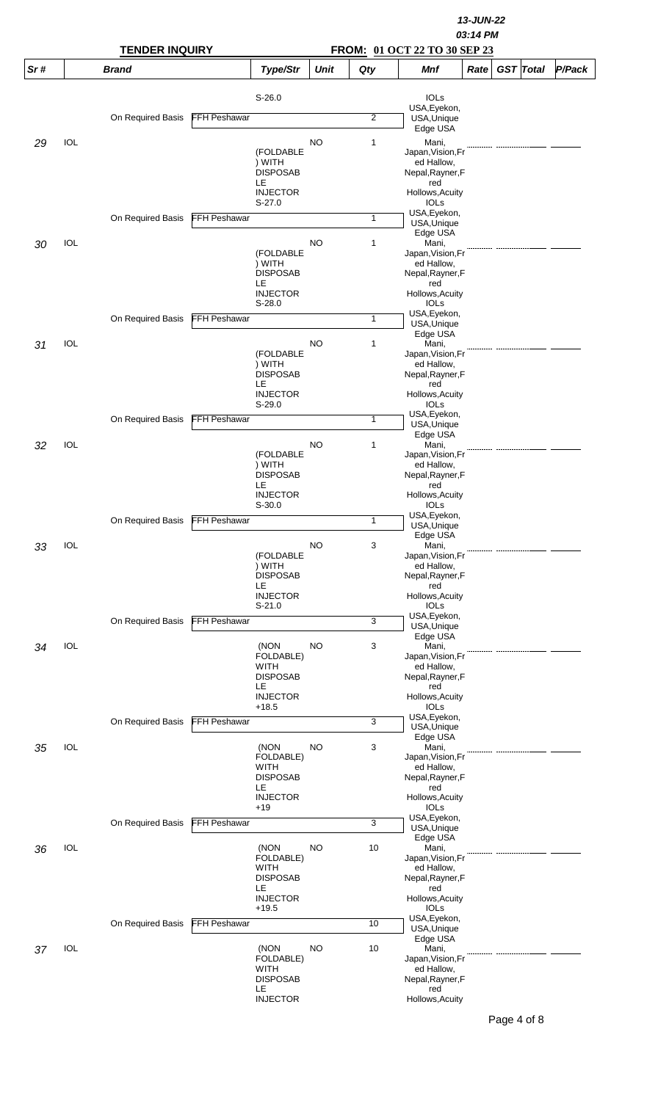|     |            |                       |                     | 13-JUN-22<br>03:14 PM          |             |                |                                 |      |  |                  |        |  |  |
|-----|------------|-----------------------|---------------------|--------------------------------|-------------|----------------|---------------------------------|------|--|------------------|--------|--|--|
|     |            | <b>TENDER INQUIRY</b> |                     |                                |             |                | FROM: 01 OCT 22 TO 30 SEP 23    |      |  |                  |        |  |  |
| Sr# |            | <b>Brand</b>          |                     | Type/Str                       | <b>Unit</b> | Qty            | <b>Mnf</b>                      | Rate |  | <b>GST</b> Total | P/Pack |  |  |
|     |            |                       |                     | $S-26.0$                       |             |                | <b>IOLS</b>                     |      |  |                  |        |  |  |
|     |            | On Required Basis     | <b>FFH Peshawar</b> |                                |             | $\overline{2}$ | USA, Eyekon,<br>USA, Unique     |      |  |                  |        |  |  |
|     |            |                       |                     |                                |             |                | Edge USA                        |      |  |                  |        |  |  |
| 29  | <b>IOL</b> |                       |                     | (FOLDABLE                      | NO          | 1              | Mani,<br>Japan, Vision, Fr      |      |  |                  |        |  |  |
|     |            |                       |                     | ) WITH<br><b>DISPOSAB</b>      |             |                | ed Hallow,<br>Nepal, Rayner, F  |      |  |                  |        |  |  |
|     |            |                       |                     | LE                             |             |                | red                             |      |  |                  |        |  |  |
|     |            |                       |                     | <b>INJECTOR</b><br>$S-27.0$    |             |                | Hollows, Acuity<br><b>IOLs</b>  |      |  |                  |        |  |  |
|     |            | On Required Basis     | <b>FFH Peshawar</b> |                                |             | 1              | USA, Eyekon,<br>USA, Unique     |      |  |                  |        |  |  |
|     | IOL        |                       |                     |                                | <b>NO</b>   | 1              | Edge USA<br>Mani,               |      |  |                  |        |  |  |
| 30  |            |                       |                     | (FOLDABLE                      |             |                | Japan, Vision, Fr               |      |  |                  |        |  |  |
|     |            |                       |                     | ) WITH<br><b>DISPOSAB</b>      |             |                | ed Hallow,<br>Nepal, Rayner, F  |      |  |                  |        |  |  |
|     |            |                       |                     | LE<br><b>INJECTOR</b>          |             |                | red<br>Hollows, Acuity          |      |  |                  |        |  |  |
|     |            |                       |                     | $S-28.0$                       |             |                | <b>IOLS</b>                     |      |  |                  |        |  |  |
|     |            | On Required Basis     | <b>FFH Peshawar</b> |                                |             | 1              | USA, Eyekon,<br>USA, Unique     |      |  |                  |        |  |  |
| 31  | IOL        |                       |                     |                                | NO          | 1              | Edge USA<br>Mani,               |      |  |                  |        |  |  |
|     |            |                       |                     | (FOLDABLE                      |             |                | Japan, Vision, Fr               |      |  |                  |        |  |  |
|     |            |                       |                     | ) WITH<br><b>DISPOSAB</b>      |             |                | ed Hallow,<br>Nepal, Rayner, F  |      |  |                  |        |  |  |
|     |            |                       |                     | LE<br><b>INJECTOR</b>          |             |                | red<br>Hollows, Acuity          |      |  |                  |        |  |  |
|     |            |                       |                     | $S-29.0$                       |             |                | IOLs                            |      |  |                  |        |  |  |
|     |            | On Required Basis     | FFH Peshawar        |                                |             | $\mathbf{1}$   | USA, Eyekon,<br>USA, Unique     |      |  |                  |        |  |  |
| 32  | IOL        |                       |                     |                                | <b>NO</b>   | 1              | Edge USA<br>Mani,               |      |  |                  |        |  |  |
|     |            |                       |                     | (FOLDABLE<br>) WITH            |             |                | Japan, Vision, Fr<br>ed Hallow, |      |  |                  |        |  |  |
|     |            |                       |                     | <b>DISPOSAB</b>                |             |                | Nepal, Rayner, F                |      |  |                  |        |  |  |
|     |            |                       |                     | LE<br><b>INJECTOR</b>          |             |                | red<br>Hollows, Acuity          |      |  |                  |        |  |  |
|     |            |                       |                     | $S-30.0$                       |             |                | <b>IOLS</b><br>USA, Eyekon,     |      |  |                  |        |  |  |
|     |            | On Required Basis     | FFH Peshawar        |                                |             | $\mathbf{1}$   | USA, Unique                     |      |  |                  |        |  |  |
| 33  | <b>IOL</b> |                       |                     |                                | NO          | 3              | Edge USA<br>Mani,               |      |  |                  |        |  |  |
|     |            |                       |                     | (FOLDABLE<br>) WITH            |             |                | Japan, Vision, Fr<br>ed Hallow, |      |  |                  |        |  |  |
|     |            |                       |                     | <b>DISPOSAB</b><br>LE          |             |                | Nepal, Rayner, F<br>red         |      |  |                  |        |  |  |
|     |            |                       |                     | <b>INJECTOR</b>                |             |                | Hollows, Acuity                 |      |  |                  |        |  |  |
|     |            | On Required Basis     | <b>FFH Peshawar</b> | $S-21.0$                       |             | 3              | <b>IOLs</b><br>USA, Eyekon,     |      |  |                  |        |  |  |
|     |            |                       |                     |                                |             |                | USA, Unique<br>Edge USA         |      |  |                  |        |  |  |
| 34  | <b>IOL</b> |                       |                     | (NON                           | <b>NO</b>   | 3              | Mani,                           |      |  |                  |        |  |  |
|     |            |                       |                     | FOLDABLE)<br>WITH              |             |                | Japan, Vision, Fr<br>ed Hallow, |      |  |                  |        |  |  |
|     |            |                       |                     | <b>DISPOSAB</b><br>LE          |             |                | Nepal, Rayner, F<br>red         |      |  |                  |        |  |  |
|     |            |                       |                     | <b>INJECTOR</b><br>$+18.5$     |             |                | Hollows, Acuity<br><b>IOLs</b>  |      |  |                  |        |  |  |
|     |            | On Required Basis     | <b>FFH Peshawar</b> |                                |             | 3              | USA, Eyekon,                    |      |  |                  |        |  |  |
|     |            |                       |                     |                                |             |                | USA, Unique<br>Edge USA         |      |  |                  |        |  |  |
| 35  | IOL        |                       |                     | (NON<br>FOLDABLE)              | <b>NO</b>   | 3              | Mani,<br>Japan, Vision, Fr      |      |  |                  |        |  |  |
|     |            |                       |                     | <b>WITH</b>                    |             |                | ed Hallow,                      |      |  |                  |        |  |  |
|     |            |                       |                     | <b>DISPOSAB</b><br>LE          |             |                | Nepal, Rayner, F<br>red         |      |  |                  |        |  |  |
|     |            |                       |                     | <b>INJECTOR</b><br>$+19$       |             |                | Hollows, Acuity<br><b>IOLS</b>  |      |  |                  |        |  |  |
|     |            | On Required Basis     | FFH Peshawar        |                                |             | 3              | USA, Eyekon,<br>USA, Unique     |      |  |                  |        |  |  |
|     |            |                       |                     |                                |             |                | Edge USA                        |      |  |                  |        |  |  |
| 36  | IOL        |                       |                     | (NON<br>FOLDABLE)              | <b>NO</b>   | 10             | Mani,<br>Japan, Vision, Fr      |      |  |                  |        |  |  |
|     |            |                       |                     | <b>WITH</b><br><b>DISPOSAB</b> |             |                | ed Hallow,<br>Nepal, Rayner, F  |      |  |                  |        |  |  |
|     |            |                       |                     | LE                             |             |                | red                             |      |  |                  |        |  |  |
|     |            |                       |                     | <b>INJECTOR</b><br>$+19.5$     |             |                | Hollows, Acuity<br><b>IOLS</b>  |      |  |                  |        |  |  |
|     |            | On Required Basis     | <b>FFH Peshawar</b> |                                |             | 10             | USA, Eyekon,<br>USA, Unique     |      |  |                  |        |  |  |
|     |            |                       |                     |                                |             |                | Edge USA                        |      |  |                  |        |  |  |
| 37  | <b>IOL</b> |                       |                     | (NON<br>FOLDABLE)              | <b>NO</b>   | 10             | Mani,<br>Japan, Vision, Fr      |      |  |                  |        |  |  |
|     |            |                       |                     | <b>WITH</b><br><b>DISPOSAB</b> |             |                | ed Hallow,<br>Nepal, Rayner, F  |      |  |                  |        |  |  |
|     |            |                       |                     | LE<br><b>INJECTOR</b>          |             |                | red<br>Hollows, Acuity          |      |  |                  |        |  |  |
|     |            |                       |                     |                                |             |                |                                 |      |  |                  |        |  |  |

 $\begin{array}{c} \hline \end{array}$ 

Page 4 of 8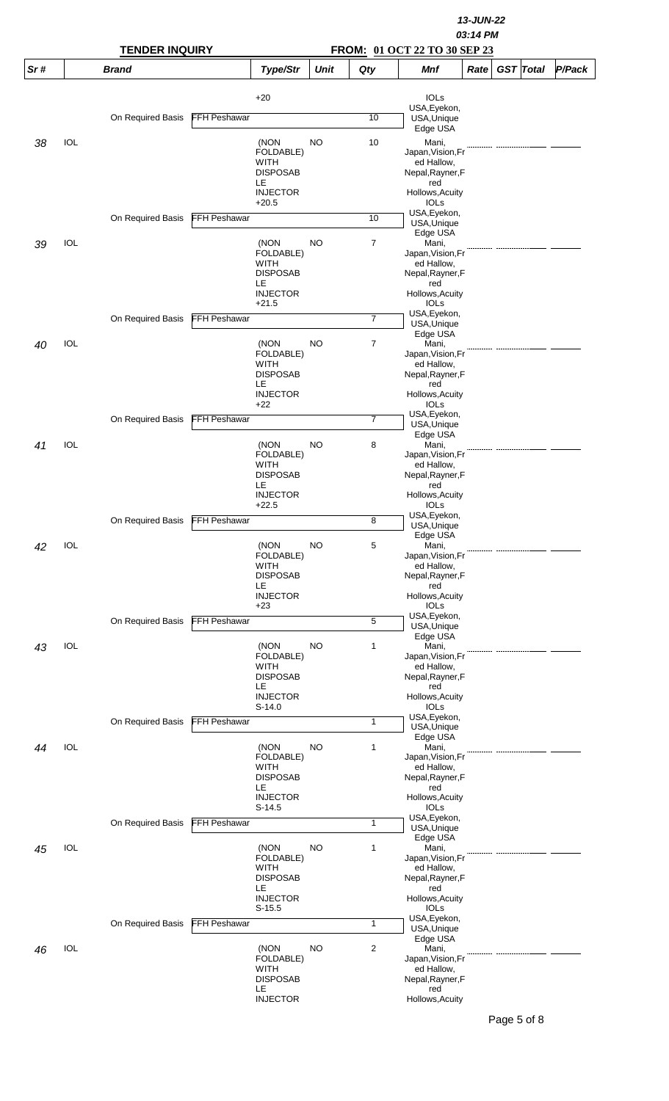|     |            | <b>TENDER INQUIRY</b> |                     |                                |             | 13-JUN-22<br>03:14 PM<br>FROM: 01 OCT 22 TO 30 SEP 23 |                                 |      |                  |        |  |  |  |
|-----|------------|-----------------------|---------------------|--------------------------------|-------------|-------------------------------------------------------|---------------------------------|------|------------------|--------|--|--|--|
| Sr# |            | <b>Brand</b>          |                     | Type/Str                       | <b>Unit</b> | Qty                                                   | <b>Mnf</b>                      | Rate | <b>GST</b> Total | P/Pack |  |  |  |
|     |            |                       |                     | $+20$                          |             |                                                       | <b>IOLs</b>                     |      |                  |        |  |  |  |
|     |            | On Required Basis     | <b>FFH Peshawar</b> |                                |             | 10                                                    | USA, Eyekon,<br>USA, Unique     |      |                  |        |  |  |  |
|     |            |                       |                     |                                |             |                                                       | Edge USA                        |      |                  |        |  |  |  |
| 38  | IOL        |                       |                     | (NON<br>FOLDABLE)              | NO          | 10                                                    | Mani,<br>Japan, Vision, Fr      |      |                  |        |  |  |  |
|     |            |                       |                     | <b>WITH</b><br><b>DISPOSAB</b> |             |                                                       | ed Hallow,<br>Nepal, Rayner, F  |      |                  |        |  |  |  |
|     |            |                       |                     | LE<br><b>INJECTOR</b>          |             |                                                       | red<br>Hollows, Acuity          |      |                  |        |  |  |  |
|     |            |                       |                     | $+20.5$                        |             |                                                       | <b>IOLS</b>                     |      |                  |        |  |  |  |
|     |            | On Required Basis     | <b>FFH Peshawar</b> |                                |             | 10                                                    | USA, Eyekon,<br>USA, Unique     |      |                  |        |  |  |  |
| 39  | IOL        |                       |                     | (NON                           | NO          | 7                                                     | Edge USA<br>Mani,               |      |                  |        |  |  |  |
|     |            |                       |                     | FOLDABLE)<br><b>WITH</b>       |             |                                                       | Japan, Vision, Fr<br>ed Hallow, |      |                  |        |  |  |  |
|     |            |                       |                     | <b>DISPOSAB</b><br>LE          |             |                                                       | Nepal, Rayner, F<br>red         |      |                  |        |  |  |  |
|     |            |                       |                     | <b>INJECTOR</b><br>$+21.5$     |             |                                                       | Hollows, Acuity<br><b>IOLS</b>  |      |                  |        |  |  |  |
|     |            | On Required Basis     | <b>FFH Peshawar</b> |                                |             | $\overline{7}$                                        | USA, Eyekon,<br>USA, Unique     |      |                  |        |  |  |  |
|     | IOL        |                       |                     |                                | <b>NO</b>   |                                                       | Edge USA                        |      |                  |        |  |  |  |
| 40  |            |                       |                     | (NON<br>FOLDABLE)              |             | 7                                                     | Mani,<br>Japan, Vision, Fr      |      |                  |        |  |  |  |
|     |            |                       |                     | WITH<br><b>DISPOSAB</b>        |             |                                                       | ed Hallow,<br>Nepal, Rayner, F  |      |                  |        |  |  |  |
|     |            |                       |                     | LE<br><b>INJECTOR</b>          |             |                                                       | red<br>Hollows, Acuity          |      |                  |        |  |  |  |
|     |            |                       |                     | $+22$                          |             |                                                       | <b>IOLS</b><br>USA, Eyekon,     |      |                  |        |  |  |  |
|     |            | On Required Basis     | FFH Peshawar        |                                |             | $\overline{7}$                                        | USA, Unique<br>Edge USA         |      |                  |        |  |  |  |
| 41  | IOL        |                       |                     | (NON<br>FOLDABLE)              | NO          | 8                                                     | Mani,<br>Japan, Vision, Fr      |      |                  |        |  |  |  |
|     |            |                       |                     | WITH                           |             |                                                       | ed Hallow,                      |      |                  |        |  |  |  |
|     |            |                       |                     | <b>DISPOSAB</b><br>LE          |             |                                                       | Nepal, Rayner, F<br>red         |      |                  |        |  |  |  |
|     |            |                       |                     | <b>INJECTOR</b><br>$+22.5$     |             |                                                       | Hollows, Acuity<br><b>IOLs</b>  |      |                  |        |  |  |  |
|     |            | On Required Basis     | FFH Peshawar        |                                |             | 8                                                     | USA, Eyekon,<br>USA, Unique     |      |                  |        |  |  |  |
| 42  | IOL        |                       |                     | (NON                           | <b>NO</b>   | 5                                                     | Edge USA<br>Mani,               |      |                  |        |  |  |  |
|     |            |                       |                     | FOLDABLE)<br>WITH              |             |                                                       | Japan, Vision, Fr<br>ed Hallow, |      |                  |        |  |  |  |
|     |            |                       |                     | <b>DISPOSAB</b><br>LE          |             |                                                       | Nepal, Rayner, F<br>red         |      |                  |        |  |  |  |
|     |            |                       |                     | <b>INJECTOR</b>                |             |                                                       | Hollows, Acuity                 |      |                  |        |  |  |  |
|     |            | On Required Basis     | <b>FFH Peshawar</b> | $+23$                          |             | 5                                                     | <b>IOLS</b><br>USA, Eyekon,     |      |                  |        |  |  |  |
|     |            |                       |                     |                                |             |                                                       | USA, Unique<br>Edge USA         |      |                  |        |  |  |  |
| 43  | <b>IOL</b> |                       |                     | (NON<br>FOLDABLE)              | <b>NO</b>   | 1                                                     | Mani,<br>Japan, Vision, Fr      |      |                  |        |  |  |  |
|     |            |                       |                     | <b>WITH</b><br><b>DISPOSAB</b> |             |                                                       | ed Hallow,<br>Nepal, Rayner, F  |      |                  |        |  |  |  |
|     |            |                       |                     | LE<br><b>INJECTOR</b>          |             |                                                       | red<br>Hollows, Acuity          |      |                  |        |  |  |  |
|     |            |                       |                     | $S-14.0$                       |             |                                                       | <b>IOLS</b><br>USA, Eyekon,     |      |                  |        |  |  |  |
|     |            | On Required Basis     | <b>FFH Peshawar</b> |                                |             | 1                                                     | USA, Unique                     |      |                  |        |  |  |  |
| 44  | IOL        |                       |                     | (NON                           | <b>NO</b>   | 1                                                     | Edge USA<br>Mani,               |      |                  |        |  |  |  |
|     |            |                       |                     | FOLDABLE)<br><b>WITH</b>       |             |                                                       | Japan, Vision, Fr<br>ed Hallow, |      |                  |        |  |  |  |
|     |            |                       |                     | <b>DISPOSAB</b><br>LE          |             |                                                       | Nepal, Rayner, F<br>red         |      |                  |        |  |  |  |
|     |            |                       |                     | <b>INJECTOR</b><br>$S-14.5$    |             |                                                       | Hollows, Acuity<br><b>IOLS</b>  |      |                  |        |  |  |  |
|     |            | On Required Basis     | <b>FFH Peshawar</b> |                                |             | 1                                                     | USA, Eyekon,<br>USA, Unique     |      |                  |        |  |  |  |
|     | IOL        |                       |                     | (NON                           | <b>NO</b>   | 1                                                     | Edge USA<br>Mani,               |      |                  |        |  |  |  |
| 45  |            |                       |                     | FOLDABLE)                      |             |                                                       | Japan, Vision, Fr               |      |                  |        |  |  |  |
|     |            |                       |                     | WITH<br><b>DISPOSAB</b>        |             |                                                       | ed Hallow,<br>Nepal, Rayner, F  |      |                  |        |  |  |  |
|     |            |                       |                     | LE<br><b>INJECTOR</b>          |             |                                                       | red<br>Hollows, Acuity          |      |                  |        |  |  |  |
|     |            |                       |                     | $S-15.5$                       |             |                                                       | <b>IOLS</b><br>USA, Eyekon,     |      |                  |        |  |  |  |
|     |            | On Required Basis     | <b>FFH Peshawar</b> |                                |             | $\mathbf{1}$                                          | USA, Unique<br>Edge USA         |      |                  |        |  |  |  |
| 46  | <b>IOL</b> |                       |                     | (NON<br>FOLDABLE)              | <b>NO</b>   | 2                                                     | Mani,<br>Japan, Vision, Fr      |      |                  |        |  |  |  |
|     |            |                       |                     | <b>WITH</b>                    |             |                                                       | ed Hallow,                      |      |                  |        |  |  |  |
|     |            |                       |                     | <b>DISPOSAB</b><br>LE.         |             |                                                       | Nepal, Rayner, F<br>red         |      |                  |        |  |  |  |
|     |            |                       |                     | <b>INJECTOR</b>                |             |                                                       | Hollows, Acuity                 |      |                  |        |  |  |  |

Page 5 of 8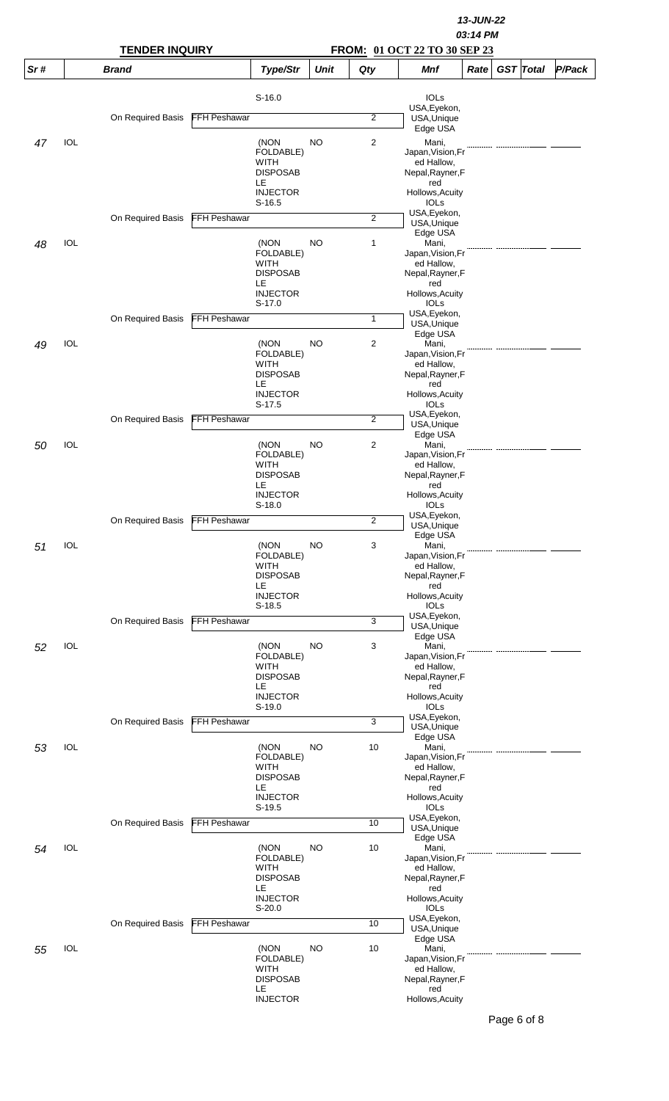|     |            | <b>TENDER INQUIRY</b> |                     |                                                           |             | FROM: 01 OCT 22 TO 30 SEP 23 |                                                                           |      |                  |        |
|-----|------------|-----------------------|---------------------|-----------------------------------------------------------|-------------|------------------------------|---------------------------------------------------------------------------|------|------------------|--------|
| Sr# |            | <b>Brand</b>          |                     | Type/Str                                                  | <b>Unit</b> | Qty                          | <b>Mnf</b>                                                                | Rate | <b>GST</b> Total | P/Pack |
|     |            |                       |                     | $S-16.0$                                                  |             |                              | <b>IOLs</b><br>USA, Eyekon,                                               |      |                  |        |
|     |            | On Required Basis     | <b>FFH Peshawar</b> |                                                           |             | $\overline{2}$               | USA, Unique                                                               |      |                  |        |
| 47  | <b>IOL</b> |                       |                     | (NON<br>FOLDABLE)<br><b>WITH</b>                          | NO          | $\overline{c}$               | Edge USA<br>Mani,<br>Japan, Vision, Fr<br>ed Hallow,                      |      |                  |        |
|     |            |                       |                     | <b>DISPOSAB</b><br>LE<br><b>INJECTOR</b><br>$S-16.5$      |             |                              | Nepal, Rayner, F<br>red<br>Hollows, Acuity<br><b>IOLs</b><br>USA, Eyekon, |      |                  |        |
|     |            | On Required Basis     | <b>FFH Peshawar</b> |                                                           |             | $\overline{2}$               | USA, Unique<br>Edge USA                                                   |      |                  |        |
| 48  | IOL        |                       |                     | (NON<br>FOLDABLE)<br><b>WITH</b><br><b>DISPOSAB</b><br>LE | NO          | 1                            | Mani,<br>Japan, Vision, Fr<br>ed Hallow,<br>Nepal, Rayner, F<br>red       |      |                  |        |
|     |            |                       |                     | <b>INJECTOR</b><br>$S-17.0$                               |             |                              | Hollows, Acuity<br><b>IOLS</b>                                            |      |                  |        |
|     |            | On Required Basis     | <b>FFH Peshawar</b> |                                                           |             | 1                            | USA, Eyekon,<br>USA, Unique<br>Edge USA                                   |      |                  |        |
| 49  | IOL        |                       |                     | (NON<br>FOLDABLE)<br>WITH<br><b>DISPOSAB</b>              | NO          | $\overline{2}$               | Mani,<br>Japan, Vision, Fr<br>ed Hallow,<br>Nepal, Rayner, F              |      |                  |        |
|     |            |                       |                     | LE<br><b>INJECTOR</b><br>$S-17.5$                         |             |                              | red<br>Hollows, Acuity<br><b>IOLs</b>                                     |      |                  |        |
|     |            | On Required Basis     | FFH Peshawar        |                                                           |             | $\overline{2}$               | USA, Eyekon,<br>USA, Unique                                               |      |                  |        |
| 50  | IOL        |                       |                     | (NON<br>FOLDABLE)<br>WITH<br><b>DISPOSAB</b>              | NO          | 2                            | Edge USA<br>Mani,<br>Japan, Vision, Fr<br>ed Hallow,<br>Nepal, Rayner, F  |      |                  |        |
|     |            |                       |                     | LE<br><b>INJECTOR</b><br>$S-18.0$                         |             |                              | red<br>Hollows, Acuity<br><b>IOLs</b>                                     |      |                  |        |
|     |            | On Required Basis     | FFH Peshawar        |                                                           |             | $\overline{c}$               | USA, Eyekon,<br>USA, Unique                                               |      |                  |        |
| 51  | <b>IOL</b> |                       |                     | (NON<br>FOLDABLE)<br><b>WITH</b>                          | NO          | 3                            | Edge USA<br>Mani,<br>Japan, Vision, Fr<br>ed Hallow,                      |      |                  |        |
|     |            |                       |                     | <b>DISPOSAB</b><br>LE<br><b>INJECTOR</b><br>$S-18.5$      |             |                              | Nepal, Rayner, F<br>red<br>Hollows, Acuity<br><b>IOLS</b><br>USA, Eyekon, |      |                  |        |
|     |            | On Required Basis     | FFH Peshawar        |                                                           |             | 3                            | USA, Unique<br>Edge USA                                                   |      |                  |        |
| 52  | IOL        |                       |                     | (NON<br>FOLDABLE)<br><b>WITH</b><br><b>DISPOSAB</b>       | NO          | 3                            | Mani,<br>Japan, Vision, Fr<br>ed Hallow,<br>Nepal, Rayner, F              |      |                  |        |
|     |            |                       |                     | LE<br><b>INJECTOR</b><br>$S-19.0$                         |             |                              | red<br>Hollows, Acuity<br>IOLs                                            |      |                  |        |
|     |            | On Required Basis     | <b>FFH Peshawar</b> |                                                           |             | 3                            | USA, Eyekon,<br>USA, Unique                                               |      |                  |        |
| 53  | <b>IOL</b> |                       |                     | (NON<br>FOLDABLE)<br><b>WITH</b>                          | <b>NO</b>   | 10                           | Edge USA<br>Mani,<br>Japan, Vision, Fr<br>ed Hallow,                      |      |                  |        |
|     |            |                       |                     | <b>DISPOSAB</b><br>LE<br><b>INJECTOR</b><br>$S-19.5$      |             |                              | Nepal, Rayner, F<br>red<br>Hollows, Acuity<br><b>IOLS</b><br>USA, Eyekon, |      |                  |        |
|     |            | On Required Basis     | <b>FFH Peshawar</b> |                                                           |             | 10                           | USA, Unique<br>Edge USA                                                   |      |                  |        |
| 54  | <b>IOL</b> |                       |                     | (NON<br>FOLDABLE)<br><b>WITH</b><br><b>DISPOSAB</b><br>LE | <b>NO</b>   | 10                           | Mani,<br>Japan, Vision, Fr<br>ed Hallow,<br>Nepal, Rayner, F<br>red       |      |                  |        |
|     |            |                       |                     | <b>INJECTOR</b><br>$S-20.0$                               |             |                              | Hollows, Acuity<br>IOLs                                                   |      |                  |        |
|     |            | On Required Basis     | <b>FFH Peshawar</b> |                                                           |             | 10                           | USA, Eyekon,<br>USA, Unique<br>Edge USA                                   |      |                  |        |
| 55  | <b>IOL</b> |                       |                     | (NON<br>FOLDABLE)<br><b>WITH</b><br><b>DISPOSAB</b><br>LE | <b>NO</b>   | 10                           | Mani,<br>Japan, Vision, Fr<br>ed Hallow,<br>Nepal, Rayner, F<br>red       |      |                  |        |
|     |            |                       |                     | <b>INJECTOR</b>                                           |             |                              | Hollows, Acuity                                                           |      |                  |        |

Page 6 of 8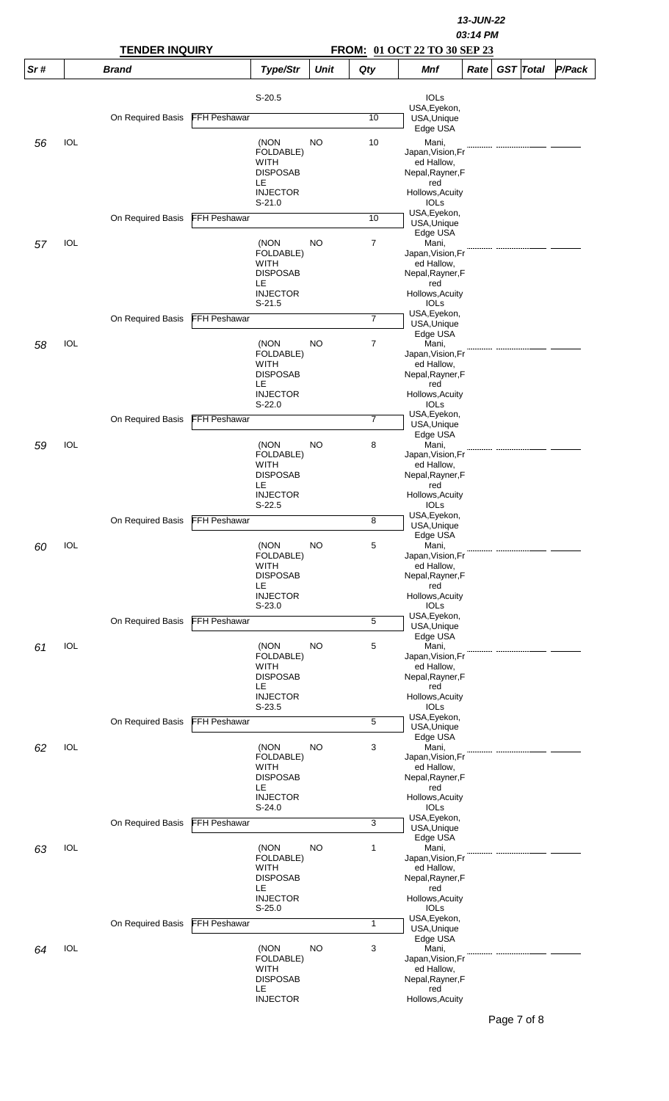|     |            | <b>TENDER INQUIRY</b> |                     |                                |             | 13-JUN-22<br>03:14 PM<br>FROM: 01 OCT 22 TO 30 SEP 23 |                                 |      |  |                  |        |  |  |
|-----|------------|-----------------------|---------------------|--------------------------------|-------------|-------------------------------------------------------|---------------------------------|------|--|------------------|--------|--|--|
| Sr# |            | <b>Brand</b>          |                     | Type/Str                       | <b>Unit</b> | Qty                                                   | <b>Mnf</b>                      | Rate |  | <b>GST</b> Total | P/Pack |  |  |
|     |            |                       |                     | $S-20.5$                       |             |                                                       | <b>IOLs</b>                     |      |  |                  |        |  |  |
|     |            | On Required Basis     | <b>FFH Peshawar</b> |                                |             | 10                                                    | USA, Eyekon,<br>USA, Unique     |      |  |                  |        |  |  |
|     |            |                       |                     |                                |             |                                                       | Edge USA                        |      |  |                  |        |  |  |
| 56  | IOL        |                       |                     | (NON<br>FOLDABLE)              | NO          | 10                                                    | Mani,<br>Japan, Vision, Fr      |      |  |                  |        |  |  |
|     |            |                       |                     | <b>WITH</b><br><b>DISPOSAB</b> |             |                                                       | ed Hallow,<br>Nepal, Rayner, F  |      |  |                  |        |  |  |
|     |            |                       |                     | LE<br><b>INJECTOR</b>          |             |                                                       | red<br>Hollows, Acuity          |      |  |                  |        |  |  |
|     |            |                       |                     | $S-21.0$                       |             |                                                       | <b>IOLs</b>                     |      |  |                  |        |  |  |
|     |            | On Required Basis     | <b>FFH Peshawar</b> |                                |             | 10                                                    | USA, Eyekon,<br>USA, Unique     |      |  |                  |        |  |  |
| 57  | IOL        |                       |                     | (NON                           | NO          | 7                                                     | Edge USA<br>Mani,               |      |  |                  |        |  |  |
|     |            |                       |                     | FOLDABLE)<br><b>WITH</b>       |             |                                                       | Japan, Vision, Fr<br>ed Hallow, |      |  |                  |        |  |  |
|     |            |                       |                     | <b>DISPOSAB</b><br>LE          |             |                                                       | Nepal, Rayner, F<br>red         |      |  |                  |        |  |  |
|     |            |                       |                     | <b>INJECTOR</b><br>$S-21.5$    |             |                                                       | Hollows, Acuity<br><b>IOLS</b>  |      |  |                  |        |  |  |
|     |            | On Required Basis     | <b>FFH Peshawar</b> |                                |             | $\overline{7}$                                        | USA, Eyekon,<br>USA, Unique     |      |  |                  |        |  |  |
|     |            |                       |                     |                                |             |                                                       | Edge USA                        |      |  |                  |        |  |  |
| 58  | IOL        |                       |                     | (NON<br>FOLDABLE)              | <b>NO</b>   | 7                                                     | Mani,<br>Japan, Vision, Fr      |      |  |                  |        |  |  |
|     |            |                       |                     | WITH<br><b>DISPOSAB</b>        |             |                                                       | ed Hallow,<br>Nepal, Rayner, F  |      |  |                  |        |  |  |
|     |            |                       |                     | LE<br><b>INJECTOR</b>          |             |                                                       | red<br>Hollows, Acuity          |      |  |                  |        |  |  |
|     |            |                       |                     | $S-22.0$                       |             |                                                       | <b>IOLs</b><br>USA, Eyekon,     |      |  |                  |        |  |  |
|     |            | On Required Basis     | <b>FFH Peshawar</b> |                                |             | 7                                                     | USA, Unique<br>Edge USA         |      |  |                  |        |  |  |
| 59  | IOL        |                       |                     | (NON<br>FOLDABLE)              | NO          | 8                                                     | Mani,<br>Japan, Vision, Fr      |      |  |                  |        |  |  |
|     |            |                       |                     | WITH                           |             |                                                       | ed Hallow,                      |      |  |                  |        |  |  |
|     |            |                       |                     | <b>DISPOSAB</b><br>LE          |             |                                                       | Nepal, Rayner, F<br>red         |      |  |                  |        |  |  |
|     |            |                       |                     | <b>INJECTOR</b><br>$S-22.5$    |             |                                                       | Hollows, Acuity<br><b>IOLs</b>  |      |  |                  |        |  |  |
|     |            | On Required Basis     | FFH Peshawar        |                                |             | 8                                                     | USA, Eyekon,<br>USA, Unique     |      |  |                  |        |  |  |
| 60  | IOL        |                       |                     | (NON                           | NO          | 5                                                     | Edge USA<br>Mani,               |      |  |                  |        |  |  |
|     |            |                       |                     | FOLDABLE)<br><b>WITH</b>       |             |                                                       | Japan, Vision, Fr<br>ed Hallow, |      |  |                  |        |  |  |
|     |            |                       |                     | <b>DISPOSAB</b><br>LE          |             |                                                       | Nepal, Rayner, F<br>red         |      |  |                  |        |  |  |
|     |            |                       |                     | <b>INJECTOR</b>                |             |                                                       | Hollows, Acuity                 |      |  |                  |        |  |  |
|     |            | On Required Basis     | FFH Peshawar        | $S-23.0$                       |             | 5                                                     | <b>IOLS</b><br>USA, Eyekon,     |      |  |                  |        |  |  |
|     |            |                       |                     |                                |             |                                                       | USA, Unique<br>Edge USA         |      |  |                  |        |  |  |
| 61  | IOL        |                       |                     | (NON<br>FOLDABLE)              | NO          | 5                                                     | Mani,<br>Japan, Vision, Fr      |      |  |                  |        |  |  |
|     |            |                       |                     | <b>WITH</b><br><b>DISPOSAB</b> |             |                                                       | ed Hallow,<br>Nepal, Rayner, F  |      |  |                  |        |  |  |
|     |            |                       |                     | LE<br><b>INJECTOR</b>          |             |                                                       | red<br>Hollows, Acuity          |      |  |                  |        |  |  |
|     |            |                       |                     | $S-23.5$                       |             |                                                       | IOLs<br>USA, Eyekon,            |      |  |                  |        |  |  |
|     |            | On Required Basis     | <b>FFH Peshawar</b> |                                |             | 5                                                     | USA, Unique<br>Edge USA         |      |  |                  |        |  |  |
| 62  | IOL        |                       |                     | (NON                           | <b>NO</b>   | 3                                                     | Mani,                           |      |  |                  |        |  |  |
|     |            |                       |                     | FOLDABLE)<br><b>WITH</b>       |             |                                                       | Japan, Vision, Fr<br>ed Hallow, |      |  |                  |        |  |  |
|     |            |                       |                     | <b>DISPOSAB</b><br>LE          |             |                                                       | Nepal, Rayner, F<br>red         |      |  |                  |        |  |  |
|     |            |                       |                     | <b>INJECTOR</b><br>$S-24.0$    |             |                                                       | Hollows, Acuity<br><b>IOLS</b>  |      |  |                  |        |  |  |
|     |            | On Required Basis     | <b>FFH Peshawar</b> |                                |             | 3                                                     | USA, Eyekon,<br>USA, Unique     |      |  |                  |        |  |  |
| 63  | <b>IOL</b> |                       |                     | (NON                           | <b>NO</b>   | 1                                                     | Edge USA<br>Mani,               |      |  |                  |        |  |  |
|     |            |                       |                     | FOLDABLE)                      |             |                                                       | Japan, Vision, Fr               |      |  |                  |        |  |  |
|     |            |                       |                     | WITH<br><b>DISPOSAB</b>        |             |                                                       | ed Hallow,<br>Nepal, Rayner, F  |      |  |                  |        |  |  |
|     |            |                       |                     | LE<br><b>INJECTOR</b>          |             |                                                       | red<br>Hollows, Acuity          |      |  |                  |        |  |  |
|     |            |                       |                     | $S-25.0$                       |             |                                                       | IOLs<br>USA, Eyekon,            |      |  |                  |        |  |  |
|     |            | On Required Basis     | <b>FFH Peshawar</b> |                                |             | 1                                                     | USA, Unique<br>Edge USA         |      |  |                  |        |  |  |
| 64  | IOL        |                       |                     | (NON<br>FOLDABLE)              | <b>NO</b>   | 3                                                     | Mani,<br>Japan, Vision, Fr      |      |  |                  |        |  |  |
|     |            |                       |                     | <b>WITH</b>                    |             |                                                       | ed Hallow,                      |      |  |                  |        |  |  |
|     |            |                       |                     | <b>DISPOSAB</b><br>LE          |             |                                                       | Nepal, Rayner, F<br>red         |      |  |                  |        |  |  |
|     |            |                       |                     | <b>INJECTOR</b>                |             |                                                       | Hollows, Acuity                 |      |  |                  |        |  |  |

Page 7 of 8